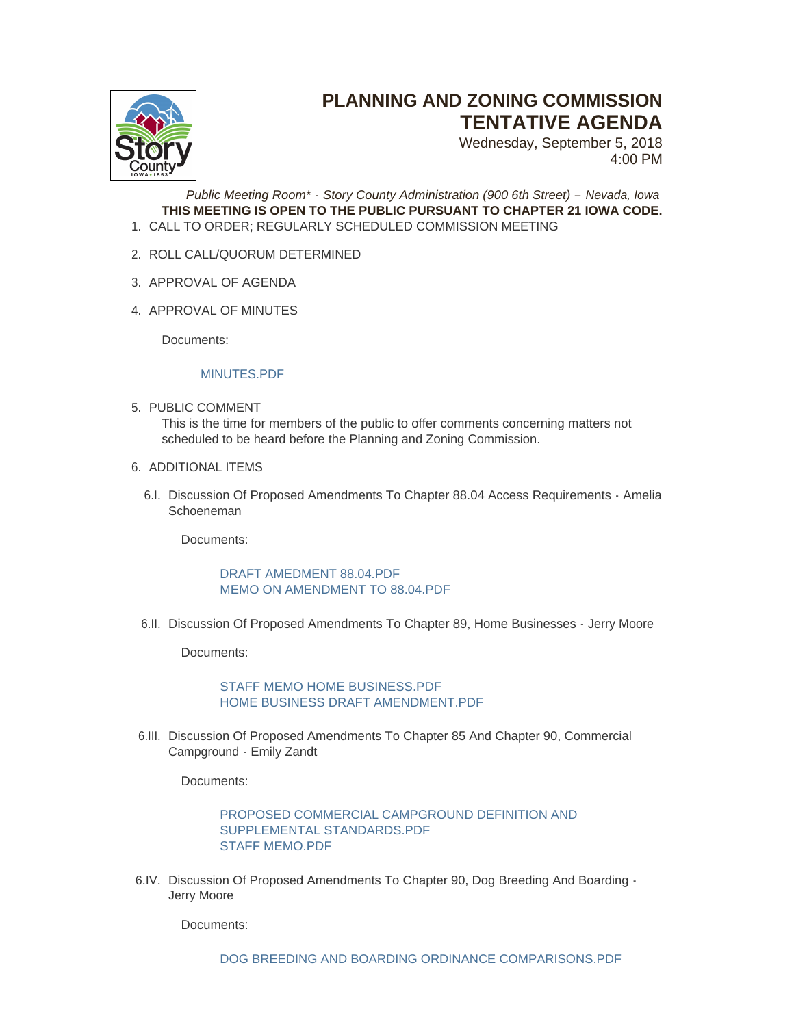

## **PLANNING AND ZONING COMMISSION TENTATIVE AGENDA**

Wednesday, September 5, 2018 4:00 PM

*Public Meeting Room\* - Story County Administration (900 6th Street) – Nevada, Iowa* **THIS MEETING IS OPEN TO THE PUBLIC PURSUANT TO CHAPTER 21 IOWA CODE.** CALL TO ORDER; REGULARLY SCHEDULED COMMISSION MEETING 1.

- 2. ROLL CALL/QUORUM DETERMINED
- 3. APPROVAL OF AGENDA
- 4. APPROVAL OF MINUTES

Documents:

## MINUTES PDF

- 5. PUBLIC COMMENT This is the time for members of the public to offer comments concerning matters not scheduled to be heard before the Planning and Zoning Commission.
- 6. ADDITIONAL ITEMS
	- 6.I. Discussion Of Proposed Amendments To Chapter 88.04 Access Requirements Amelia Schoeneman

Documents:

[DRAFT AMEDMENT 88.04.PDF](http://www.storycountyiowa.gov/AgendaCenter/ViewFile/Item/12741?fileID=9763) [MEMO ON AMENDMENT TO 88.04.PDF](http://www.storycountyiowa.gov/AgendaCenter/ViewFile/Item/12741?fileID=9764)

6.II. Discussion Of Proposed Amendments To Chapter 89, Home Businesses - Jerry Moore

Documents:

[STAFF MEMO HOME BUSINESS.PDF](http://www.storycountyiowa.gov/AgendaCenter/ViewFile/Item/12742?fileID=9765) HOME BUSINESS DRAFT AMENDMENT PDF

6.III. Discussion Of Proposed Amendments To Chapter 85 And Chapter 90, Commercial Campground - Emily Zandt

Documents:

[PROPOSED COMMERCIAL CAMPGROUND DEFINITION AND](http://www.storycountyiowa.gov/AgendaCenter/ViewFile/Item/12743?fileID=9767)  SUPPLEMENTAL STANDARDS.PDF [STAFF MEMO.PDF](http://www.storycountyiowa.gov/AgendaCenter/ViewFile/Item/12743?fileID=9768)

6.IV. Discussion Of Proposed Amendments To Chapter 90, Dog Breeding And Boarding -Jerry Moore

Documents: